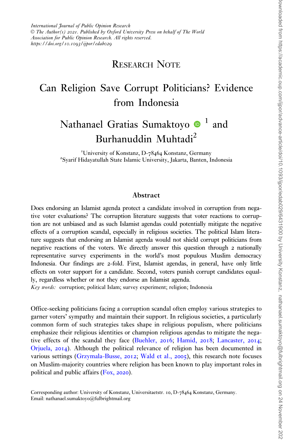## RESEARCH NOTE

## Can Religion Save Corrupt Politicians? Evidence from Indonesia

# Nathanael Gratias Sumaktoyo  $\bullet$ <sup>1</sup> and Burhanuddin Muhtadi2

<sup>1</sup>University of Konstanz, D-78464 Konstanz, Germany<br><sup>2</sup>Svarif Hidavatullah State Islamic University, Jakarta, Banten, J Syarif Hidayatullah State Islamic University, Jakarta, Banten, Indonesia

#### Abstract

Does endorsing an Islamist agenda protect a candidate involved in corruption from negative voter evaluations? The corruption literature suggests that voter reactions to corruption are not unbiased and as such Islamist agendas could potentially mitigate the negative effects of a corruption scandal, especially in religious societies. The political Islam literature suggests that endorsing an Islamist agenda would not shield corrupt politicians from negative reactions of the voters. We directly answer this question through 2 nationally representative survey experiments in the world's most populous Muslim democracy Indonesia. Our findings are 2-fold. First, Islamist agendas, in general, have only little effects on voter support for a candidate. Second, voters punish corrupt candidates equally, regardless whether or not they endorse an Islamist agenda.

Key words: corruption; political Islam; survey experiment; religion; Indonesia

Office-seeking politicians facing a corruption scandal often employ various strategies to garner voters' sympathy and maintain their support. In religious societies, a particularly common form of such strategies takes shape in religious populism, where politicians emphasize their religious identities or champion religious agendas to mitigate the negative effects of the scandal they face ([Buehler,](#page-9-0) 2016; [Hamid,](#page-9-0) 2018; [Lancaster,](#page-10-0) 2014; [Orjuela,](#page-10-0) 2014). Although the political relevance of religion has been documented in various settings [\(Grzymala-Busse,](#page-9-0) 2012; [Wald et al.,](#page-11-0) 2005), this research note focuses on Muslim-majority countries where religion has been known to play important roles in political and public affairs [\(Fox,](#page-9-0) 2020).

Corresponding author: University of Konstanz, Universitaetstr. 10, D-78464 Konstanz, Germany. Email: nathanael.sumaktoyo@fulbrightmail.org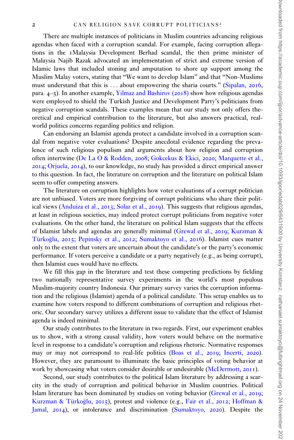There are multiple instances of politicians in Muslim countries advancing religious agendas when faced with a corruption scandal. For example, facing corruption allegations in the 1Malaysia Development Berhad scandal, the then prime minister of Malaysia Najib Razak advocated an implementation of strict and extreme version of Islamic laws that included stoning and amputation to shore up support among the Muslim Malay voters, stating that "We want to develop Islam" and that "Non-Muslims must understand that this is ... about empowering the sharia courts." [\(Sipalan,](#page-10-0) 2016, para. 4–5). In another example, [Yilmaz and Bashirov \(](#page-11-0)2018) show how religious agendas were employed to shield the Turkish Justice and Development Party's politicians from negative corruption scandals. These examples mean that our study not only offers theoretical and empirical contribution to the literature, but also answers practical, realworld politics concerns regarding politics and religion.

Can endorsing an Islamist agenda protect a candidate involved in a corruption scandal from negative voter evaluations? Despite anecdotal evidence regarding the prevalence of such religious populism and arguments about how religion and corruption often intertwine [\(De La O & Rodden,](#page-9-0) 2008; [Gokcekus](#page-9-0) [& Ekici,](#page-9-0) 2020; [Marquette et al.,](#page-10-0) [2014](#page-10-0); [Orjuela,](#page-10-0) 2014), to our knowledge, no study has provided a direct empirical answer to this question. In fact, the literature on corruption and the literature on political Islam seem to offer competing answers.

The literature on corruption highlights how voter evaluations of a corrupt politician are not unbiased. Voters are more forgiving of corrupt politicians who share their political views ([Anduiza et al.,](#page-8-0) 2013; [Solaz et al.,](#page-10-0) 2019). This suggests that religious agendas, at least in religious societies, may indeed protect corrupt politicians from negative voter evaluations. On the other hand, the literature on political Islam suggests that the effects of Islamist labels and agendas are generally minimal [\(Grewal et al.,](#page-9-0) 2019; [Kurzman](#page-10-0) & Türkoğlu, [2015](#page-10-0); [Pepinsky et al.,](#page-10-0) 2012; [Sumaktoyo et al.,](#page-10-0) 2016). Islamist cues matter only to the extent that voters are uncertain about the candidate's or the party's economic performance. If voters perceive a candidate or a party negatively (e.g., as being corrupt), then Islamist cues would have no effects.

We fill this gap in the literature and test these competing predictions by fielding two nationally representative survey experiments in the world's most populous Muslim-majority country Indonesia. Our primary survey varies the corruption information and the religious (Islamist) agenda of a political candidate. This setup enables us to examine how voters respond to different combinations of corruption and religious rhetoric. Our secondary survey utilizes a different issue to validate that the effect of Islamist agenda is indeed minimal.

Our study contributes to the literature in two regards. First, our experiment enables us to show, with a strong causal validity, how voters would behave on the normative level in response to a candidate's corruption and religious rhetoric. Normative responses may or may not correspond to real-life politics ([Boas et al.,](#page-9-0) 2019; [Incerti,](#page-9-0) 2020). However, they are paramount to illuminate the basic principles of voting behavior at work by showcasing what voters consider desirable or undesirable ([McDermott,](#page-10-0) 2011).

Second, our study contributes to the political Islam literature by addressing a scarcity in the study of corruption and political behavior in Muslim countries. Political Islam literature has been dominated by studies on voting behavior ([Grewal et al.,](#page-9-0) 2019; [Kurzman](#page-10-0) & Türkoğlu, [2015](#page-10-0)), protest and violence (e.g., [Fair et al.,](#page-9-0) 2012; [Hoffman](#page-9-0) & [Jamal,](#page-9-0) 2014), or intolerance and discrimination ([Sumaktoyo,](#page-10-0) 2020). Despite the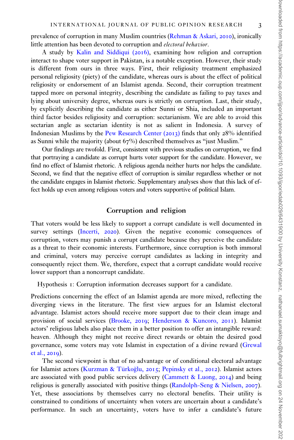prevalence of corruption in many Muslim countries [\(Rehman & Askari,](#page-10-0) 2010), ironically little attention has been devoted to corruption and electoral behavior.

A study by [Kalin and Siddiqui \(](#page-9-0)2016), examining how religion and corruption interact to shape voter support in Pakistan, is a notable exception. However, their study is different from ours in three ways. First, their religiosity treatment emphasized personal religiosity (piety) of the candidate, whereas ours is about the effect of political religiosity or endorsement of an Islamist agenda. Second, their corruption treatment tapped more on personal integrity, describing the candidate as failing to pay taxes and lying about university degree, whereas ours is strictly on corruption. Last, their study, by explicitly describing the candidate as either Sunni or Shia, included an important third factor besides religiosity and corruption: sectarianism. We are able to avoid this sectarian angle as sectarian identity is not as salient in Indonesia. A survey of Indonesian Muslims by the [Pew Research Center \(](#page-10-0)2013) finds that only 28% identified as Sunni while the majority (about  $67\%$ ) described themselves as "just Muslim."

Our findings are twofold. First, consistent with previous studies on corruption, we find that portraying a candidate as corrupt hurts voter support for the candidate. However, we find no effect of Islamist rhetoric. A religious agenda neither hurts nor helps the candidate. Second, we find that the negative effect of corruption is similar regardless whether or not the candidate engages in Islamist rhetoric. Supplementary analyses show that this lack of effect holds up even among religious voters and voters supportive of political Islam.

#### Corruption and religion

That voters would be less likely to support a corrupt candidate is well documented in survey settings [\(Incerti,](#page-9-0) 2020). Given the negative economic consequences of corruption, voters may punish a corrupt candidate because they perceive the candidate as a threat to their economic interests. Furthermore, since corruption is both immoral and criminal, voters may perceive corrupt candidates as lacking in integrity and consequently reject them. We, therefore, expect that a corrupt candidate would receive lower support than a noncorrupt candidate.

Hypothesis 1: Corruption information decreases support for a candidate.

Predictions concerning the effect of an Islamist agenda are more mixed, reflecting the diverging views in the literature. The first view argues for an Islamist electoral advantage. Islamist actors should receive more support due to their clean image and provision of social services [\(Brooke,](#page-9-0) 2019; [Henderson & Kuncoro,](#page-9-0) 2011). Islamist actors' religious labels also place them in a better position to offer an intangible reward: heaven. Although they might not receive direct rewards or obtain the desired good governance, some voters may vote Islamist in expectation of a divine reward ([Grewal](#page-9-0) [et al.,](#page-9-0) 2019).

The second viewpoint is that of no advantage or of conditional electoral advantage for Islamist actors (Kurzman & Türkoğlu, [2015](#page-10-0); [Pepinsky et al.,](#page-10-0) 2012). Islamist actors are associated with good public services delivery [\(Cammett](#page-9-0) [& Luong,](#page-9-0)  $2014$ ) and being religious is generally associated with positive things ([Randolph-Seng & Nielsen,](#page-10-0) 2007). Yet, these associations by themselves carry no electoral benefits. Their utility is constrained to conditions of uncertainty when voters are uncertain about a candidate's performance. In such an uncertainty, voters have to infer a candidate's future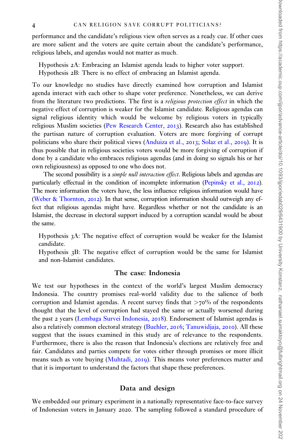performance and the candidate's religious view often serves as a ready cue. If other cues are more salient and the voters are quite certain about the candidate's performance, religious labels, and agendas would not matter as much.

Hypothesis 2A: Embracing an Islamist agenda leads to higher voter support. Hypothesis 2B: There is no effect of embracing an Islamist agenda.

To our knowledge no studies have directly examined how corruption and Islamist agenda interact with each other to shape voter preference. Nonetheless, we can derive from the literature two predictions. The first is a religious protection effect in which the negative effect of corruption is weaker for the Islamist candidate. Religious agendas can signal religious identity which would be welcome by religious voters in typically religious Muslim societies [\(Pew Research Center,](#page-10-0) 2013). Research also has established the partisan nature of corruption evaluation. Voters are more forgiving of corrupt politicians who share their political views ([Anduiza et al.,](#page-8-0) 2013; [Solaz et al.,](#page-10-0) 2019). It is thus possible that in religious societies voters would be more forgiving of corruption if done by a candidate who embraces religious agendas (and in doing so signals his or her own religiousness) as opposed to one who does not.

The second possibility is a *simple null interaction effect*. Religious labels and agendas are particularly effectual in the condition of incomplete information [\(Pepinsky et al.,](#page-10-0) 2012). The more information the voters have, the less influence religious information would have [\(Weber](#page-11-0) [& Thornton,](#page-11-0) 2012). In that sense, corruption information should outweigh any effect that religious agendas might have. Regardless whether or not the candidate is an Islamist, the decrease in electoral support induced by a corruption scandal would be about the same.

Hypothesis 3A: The negative effect of corruption would be weaker for the Islamist candidate.

Hypothesis 3B: The negative effect of corruption would be the same for Islamist and non-Islamist candidates.

#### The case: Indonesia

We test our hypotheses in the context of the world's largest Muslim democracy Indonesia. The country promises real-world validity due to the salience of both corruption and Islamist agendas. A recent survey finds that  $>70\%$  of the respondents thought that the level of corruption had stayed the same or actually worsened during the past 2 years [\(Lembaga Survei Indonesia,](#page-10-0) 2018). Endorsement of Islamist agendas is also a relatively common electoral strategy ([Buehler,](#page-9-0) 2016; [Tanuwidjaja,](#page-10-0) 2010). All these suggest that the issues examined in this study are of relevance to the respondents. Furthermore, there is also the reason that Indonesia's elections are relatively free and fair. Candidates and parties compete for votes either through promises or more illicit means such as vote buying [\(Muhtadi,](#page-10-0) 2019). This means voter preferences matter and that it is important to understand the factors that shape these preferences.

#### Data and design

We embedded our primary experiment in a nationally representative face-to-face survey of Indonesian voters in January 2020. The sampling followed a standard procedure of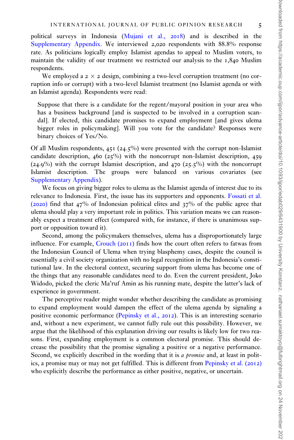political surveys in Indonesia [\(Mujani et al.,](#page-10-0) 2018) and is described in the [Supplementary Appendix](https://academic.oup.com/ijpor/article-lookup/doi/10.1093/ijpor/edab029#supplementary-data). We interviewed 2,020 respondents with 88.8% response rate. As politicians logically employ Islamist agendas to appeal to Muslim voters, to maintain the validity of our treatment we restricted our analysis to the 1,840 Muslim respondents.

We employed a  $2 \times 2$  design, combining a two-level corruption treatment (no corruption info or corrupt) with a two-level Islamist treatment (no Islamist agenda or with an Islamist agenda). Respondents were read:

Suppose that there is a candidate for the regent/mayoral position in your area who has a business background [and is suspected to be involved in a corruption scandal]. If elected, this candidate promises to expand employment [and gives ulema bigger roles in policymaking]. Will you vote for the candidate? Responses were binary choices of Yes/No.

Of all Muslim respondents, 451 (24.5%) were presented with the corrupt non-Islamist candidate description,  $460 (25\%)$  with the noncorrupt non-Islamist description,  $459$  $(24.9\%)$  with the corrupt Islamist description, and 470  $(25.5\%)$  with the noncorrupt Islamist description. The groups were balanced on various covariates (see [Supplementary Appendix\)](https://academic.oup.com/ijpor/article-lookup/doi/10.1093/ijpor/edab029#supplementary-data).

We focus on giving bigger roles to ulema as the Islamist agenda of interest due to its relevance to Indonesia. First, the issue has its supporters and opponents. [Fossati et al.](#page-9-0) ([2020](#page-9-0)) find that 47% of Indonesian political elites and 37% of the public agree that ulema should play a very important role in politics. This variation means we can reasonably expect a treatment effect (compared with, for instance, if there is unanimous support or opposition toward it).

Second, among the policymakers themselves, ulema has a disproportionately large influence. For example, [Crouch \(](#page-9-0)2011) finds how the court often refers to fatwas from the Indonesian Council of Ulema when trying blasphemy cases, despite the council is essentially a civil society organization with no legal recognition in the Indonesia's constitutional law. In the electoral context, securing support from ulema has become one of the things that any reasonable candidates need to do. Even the current president, Joko Widodo, picked the cleric Ma'ruf Amin as his running mate, despite the latter's lack of experience in government.

The perceptive reader might wonder whether describing the candidate as promising to expand employment would dampen the effect of the ulema agenda by signaling a positive economic performance [\(Pepinsky et al.,](#page-10-0) 2012). This is an interesting scenario and, without a new experiment, we cannot fully rule out this possibility. However, we argue that the likelihood of this explanation driving our results is likely low for two reasons. First, expanding employment is a common electoral promise. This should decrease the possibility that the promise signaling a positive or a negative performance. Second, we explicitly described in the wording that it is a promise and, at least in politics, a promise may or may not get fulfilled. This is different from [Pepinsky et al. \(](#page-10-0)2012) who explicitly describe the performance as either positive, negative, or uncertain.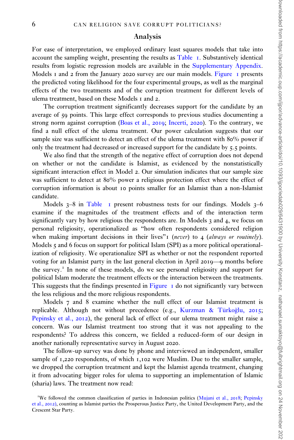#### Analysis

For ease of interpretation, we employed ordinary least squares models that take into account the sampling weight, presenting the results as [Table](#page-6-0) 1. Substantively identical results from logistic regression models are available in the [Supplementary Appendix](https://academic.oup.com/ijpor/article-lookup/doi/10.1093/ijpor/edab029#supplementary-data). Models 1 and 2 from the January 2020 survey are our main models. [Figure](#page-7-0) 1 presents the predicted voting likelihood for the four experimental groups, as well as the marginal effects of the two treatments and of the corruption treatment for different levels of ulema treatment, based on these Models 1 and 2.

The corruption treatment significantly decreases support for the candidate by an average of 59 points. This large effect corresponds to previous studies documenting a strong norm against corruption [\(Boas et al.,](#page-9-0) 2019; [Incerti,](#page-9-0) 2020). To the contrary, we find a null effect of the ulema treatment. Our power calculation suggests that our sample size was sufficient to detect an effect of the ulema treatment with 80% power if only the treatment had decreased or increased support for the candidate by 5.5 points.

We also find that the strength of the negative effect of corruption does not depend on whether or not the candidate is Islamist, as evidenced by the nonstatistically significant interaction effect in Model 2. Our simulation indicates that our sample size was sufficient to detect at 80% power a religious protection effect where the effect of corruption information is about 10 points smaller for an Islamist than a non-Islamist candidate.

Models  $3-8$  in [Table](#page-6-0) 1 present robustness tests for our findings. Models  $3-6$ examine if the magnitudes of the treatment effects and of the interaction term significantly vary by how religious the respondents are. In Models  $\alpha$  and  $\alpha$ , we focus on personal religiosity, operationalized as "how often respondents considered religion when making important decisions in their lives"  $(never)$  to 4 (always or routinely). Models 5 and 6 focus on support for political Islam (SPI) as a more political operationalization of religiosity. We operationalize SPI as whether or not the respondent reported voting for an Islamist party in the last general election in April 2019—9 months before the survey.<sup> $I$ </sup> In none of these models, do we see personal religiosity and support for political Islam moderate the treatment effects or the interaction between the treatments. This suggests that the findings presented in [Figure](#page-7-0)  $\,$  1 do not significantly vary between the less religious and the more religious respondents.

Models 7 and 8 examine whether the null effect of our Islamist treatment is replicable. Although not without precedence (e.g., Kurzman & Türkoğlu, [2015](#page-10-0); [Pepinsky et al.,](#page-10-0) 2012), the general lack of effect of our ulema treatment might raise a concern. Was our Islamist treatment too strong that it was not appealing to the respondents? To address this concern, we fielded a reduced-form of our design in another nationally representative survey in August 2020.

The follow-up survey was done by phone and interviewed an independent, smaller sample of 1,220 respondents, of which 1,102 were Muslim. Due to the smaller sample, we dropped the corruption treatment and kept the Islamist agenda treatment, changing it from advocating bigger roles for ulema to supporting an implementation of Islamic (sharia) laws. The treatment now read:

<sup>&</sup>lt;sup>1</sup>We followed the common classification of parties in Indonesian politics [\(Mujani et al.,](#page-10-0) 2018; [Pepinsky](#page-10-0) [et al.,](#page-10-0) 2012), counting as Islamist parties the Prosperous Justice Party, the United Development Party, and the Crescent Star Party.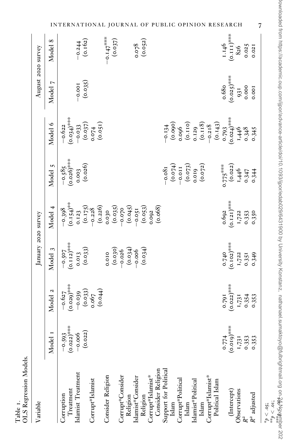<span id="page-6-0"></span>

| Variable                             |                        |                                                           | January 2020 survey    |                                                                      |                                           |                                                           | August 2020 survey    |                           |
|--------------------------------------|------------------------|-----------------------------------------------------------|------------------------|----------------------------------------------------------------------|-------------------------------------------|-----------------------------------------------------------|-----------------------|---------------------------|
|                                      | Model <sub>I</sub>     | Model 2                                                   | Model 3                | Model 4                                                              | Model 5                                   | Model 6                                                   | Model 7               | Model 8                   |
| Treatment<br>Corruption              | $-0.593$<br>(0.022)*** | $^{-0.627}_{(0.029)^{***}}$                               | $-0.507$<br>(0.112)*** | $^{-0.398}$<br>(0.154)**                                             | $^{-0.58}$ 5<br>(0.026)***                | $-0.622$<br>$(0.034)^{***}$                               |                       |                           |
| Islamist Treatment                   | (0.022)<br>$-0.006$    | $\begin{array}{c} -0.039 \\ (0.033) \\ 0.067 \end{array}$ | $0.013$<br>(0.033)     | 0.123                                                                | $0.003$<br>(0.026)                        | $\frac{-0.033}{(0.037)}$                                  | $^{10.001}_{(0.035)}$ | $^{-0.244}_{(0.162)}$     |
| Corrupt*Islamist                     |                        | (0.044)                                                   |                        | $(0.175)$<br>-0.228<br>(0.226)                                       |                                           | (0.051)<br>0.074                                          |                       |                           |
| Consider Religion                    |                        |                                                           | 0.010                  | $\begin{array}{c} 0.030 \\ (0.035) \\ -0.070 \\ (0.045) \end{array}$ |                                           |                                                           |                       | $^{-0.147***}$<br>(0.037) |
| Corrupt*Consider                     |                        |                                                           | (0.030)                |                                                                      |                                           |                                                           |                       |                           |
| Religion                             |                        |                                                           | (0.034)                |                                                                      |                                           |                                                           |                       |                           |
| Islamist*Consider                    |                        |                                                           |                        | $^{-0.051}_{(0.053)}$<br>0.092                                       |                                           |                                                           |                       | $0.078$<br>(0.052)        |
| Corrupt*Islamist*<br>Religion        |                        |                                                           | (0.034)                |                                                                      |                                           |                                                           |                       |                           |
| Consider Religion                    |                        |                                                           |                        | (0.068)                                                              |                                           |                                                           |                       |                           |
| Support for Political                |                        |                                                           |                        |                                                                      | $-0.081$                                  |                                                           |                       |                           |
| Islam                                |                        |                                                           |                        |                                                                      |                                           | $-0.134$<br>(0.090)                                       |                       |                           |
| Corrupt*Political                    |                        |                                                           |                        |                                                                      | $(-0.074)$<br>-0.011<br>(0.073)           | $0.096$<br>(0.110)                                        |                       |                           |
| Islam                                |                        |                                                           |                        |                                                                      |                                           |                                                           |                       |                           |
| Islamist*Political                   |                        |                                                           |                        |                                                                      | $0.019$<br>(0.072)                        |                                                           |                       |                           |
| Islam                                |                        |                                                           |                        |                                                                      |                                           | $\begin{array}{c} 0.129 \\ (0.118) \\ -0.218 \end{array}$ |                       |                           |
| Corrupt*Islamist*<br>Political Islam |                        |                                                           |                        |                                                                      |                                           |                                                           |                       |                           |
|                                      | 0.774                  | 0.791                                                     |                        | 0.692                                                                | $0.775***$<br>(0.022)<br>(0.022)<br>1,446 | $(0.143)$<br>0.793<br>$(0.024)$ ***                       | 0.68                  | 1.146                     |
| (Intercept)                          | $(0.019)$ ***          | $(0.022)^{***}$                                           | $0.740$<br>(0.102)***  | $(0.121)^{***}$                                                      |                                           |                                                           | $(0.025)^{***}$       | $(0.111)^{***}$           |
| Observations                         | 1,731                  | 1,731                                                     | 1,722                  | 1,722                                                                |                                           | $6+8$<br>0.348                                            | $^{931}_{0.000}$      | 826                       |
|                                      | 0.353                  | 0.354<br>0.353                                            | 0.351                  |                                                                      |                                           |                                                           |                       | 0.025                     |
| $R^2$ adjusted                       | 0.353                  |                                                           | 0.349                  | 0.353<br>0.350                                                       | 0.347<br>0.344                            | 0.345                                                     | 0.001                 | 0.021                     |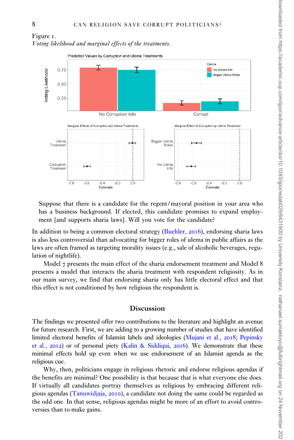<span id="page-7-0"></span>

Suppose that there is a candidate for the regent/mayoral position in your area who has a business background. If elected, this candidate promises to expand employment [and supports sharia laws]. Will you vote for the candidate?

In addition to being a common electoral strategy [\(Buehler,](#page-9-0) 2016), endorsing sharia laws is also less controversial than advocating for bigger roles of ulema in public affairs as the laws are often framed as targeting morality issues (e.g., sale of alcoholic beverages, regulation of nightlife).

Model 7 presents the main effect of the sharia endorsement treatment and Model 8 presents a model that interacts the sharia treatment with respondent religiosity. As in our main survey, we find that endorsing sharia only has little electoral effect and that this effect is not conditioned by how religious the respondent is.

#### Discussion

The findings we presented offer two contributions to the literature and highlight an avenue for future research. First, we are adding to a growing number of studies that have identified limited electoral benefits of Islamist labels and ideologies [\(Mujani et al.,](#page-10-0) 2018; [Pepinsky](#page-10-0) [et al.,](#page-10-0) 2012) or of personal piety ([Kalin](#page-9-0) & [Siddiqui,](#page-9-0) 2016). We demonstrate that these minimal effects hold up even when we use endorsement of an Islamist agenda as the religious cue.

Why, then, politicians engage in religious rhetoric and endorse religious agendas if the benefits are minimal? One possibility is that because that is what everyone else does. If virtually all candidates portray themselves as religious by embracing different religious agendas [\(Tanuwidjaja,](#page-10-0) 2010), a candidate not doing the same could be regarded as the odd one. In that sense, religious agendas might be more of an effort to avoid controversies than to make gains.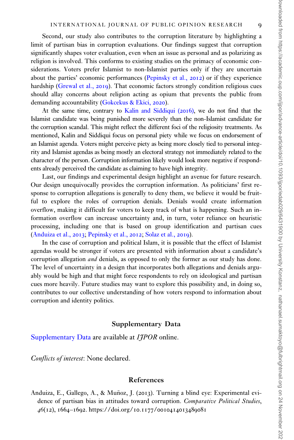<span id="page-8-0"></span>Second, our study also contributes to the corruption literature by highlighting a limit of partisan bias in corruption evaluations. Our findings suggest that corruption significantly shapes voter evaluation, even when an issue as personal and as polarizing as religion is involved. This conforms to existing studies on the primacy of economic considerations. Voters prefer Islamist to non-Islamist parties only if they are uncertain about the parties' economic performances ([Pepinsky et al.,](#page-10-0) 2012) or if they experience hardship [\(Grewal et al.,](#page-9-0) 2019). That economic factors strongly condition religious cues should allay concerns about religion acting as opium that prevents the public from demanding accountability ([Gokcekus](#page-9-0) [& Ekici,](#page-9-0) 2020).

At the same time, contrary to [Kalin and Siddiqui \(](#page-9-0)2016), we do not find that the Islamist candidate was being punished more severely than the non-Islamist candidate for the corruption scandal. This might reflect the different foci of the religiosity treatments. As mentioned, Kalin and Siddiqui focus on personal piety while we focus on endorsement of an Islamist agenda. Voters might perceive piety as being more closely tied to personal integrity and Islamist agendas as being mostly an electoral strategy not immediately related to the character of the person. Corruption information likely would look more negative if respondents already perceived the candidate as claiming to have high integrity.

Last, our findings and experimental design highlight an avenue for future research. Our design unequivocally provides the corruption information. As politicians' first response to corruption allegations is generally to deny them, we believe it would be fruitful to explore the roles of corruption denials. Denials would create information overflow, making it difficult for voters to keep track of what is happening. Such an information overflow can increase uncertainty and, in turn, voter reliance on heuristic processing, including one that is based on group identification and partisan cues (Anduiza et al., 2013; [Pepinsky et al.,](#page-10-0) 2012; [Solaz et al.,](#page-10-0) 2019).

In the case of corruption and political Islam, it is possible that the effect of Islamist agendas would be stronger if voters are presented with information about a candidate's corruption allegation *and* denials, as opposed to only the former as our study has done. The level of uncertainty in a design that incorporates both allegations and denials arguably would be high and that might force respondents to rely on ideological and partisan cues more heavily. Future studies may want to explore this possibility and, in doing so, contributes to our collective understanding of how voters respond to information about corruption and identity politics.

#### Supplementary Data

[Supplementary Data](https://academic.oup.com/ijpor/article-lookup/doi/10.1093/ijpor/edab029#supplementary-data) are available at *IIPOR* online.

Conflicts of interest: None declared.

#### References

Anduiza, E., Gallego, A., & Muñoz, J. (2013). Turning a blind eye: Experimental evidence of partisan bias in attitudes toward corruption. Comparative Political Studies, 46(12), 1664–1692. https://doi.org/10.1177/[0010414013489081](https://doi.org/10.1177/0010414013489081)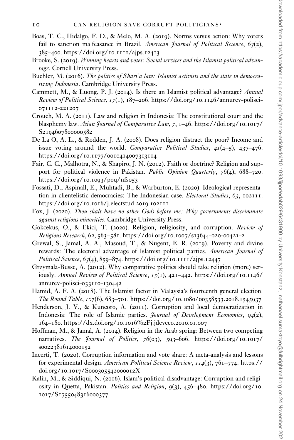- <span id="page-9-0"></span>Boas, T. C., Hidalgo, F. D., & Melo, M. A. (2019). Norms versus action: Why voters fail to sanction malfeasance in Brazil. American Journal of Political Science,  $63(2)$ , 385–400. [https://doi.org/](https://doi.org/10.1111/ajps.12413)10.1111/ajps.12413
- Brooke, S. (2019). Winning hearts and votes: Social services and the Islamist political advantage. Cornell University Press.
- Buehler, M. (2016). The politics of Shari'a law: Islamist activists and the state in democratizing Indonesia. Cambridge University Press.
- Cammett, M., & Luong, P. J. (2014). Is there an Islamist political advantage? Annual Review of Political Science,  $17(1)$ ,  $187-206$ . https://doi.org/10.1146[/annurev-polisci-](https://doi.org/10.1146/annurev-polisci-071112-221207)[071112](https://doi.org/10.1146/annurev-polisci-071112-221207)-221207
- Crouch, M. A. (2011). Law and religion in Indonesia: The constitutional court and the blasphemy law. Asian Journal of Comparative Law,  $7, 1-46$ . [https://doi.org/](https://doi.org/10.1017/S2194607800000582)10.1017/ S[2194607800000582](https://doi.org/10.1017/S2194607800000582)
- De La O, A. L., & Rodden, J. A. (2008). Does religion distract the poor? Income and issue voting around the world. Comparative Political Studies,  $4I(4-5)$ ,  $437-476$ . https://doi.org/10.1177/[0010414007313114](https://doi.org/10.1177/0010414007313114)
- Fair, C. C., Malhotra, N., & Shapiro, J. N. (2012). Faith or doctrine? Religion and support for political violence in Pakistan. Public Opinion Quarterly, 76(4), 688-720. [https://doi.org/](https://doi.org/10.1093/poq/nfs053)10.1093/poq/nfs053
- Fossati, D., Aspinall, E., Muhtadi, B., & Warburton, E. (2020). Ideological representation in clientelistic democracies: The Indonesian case. *Electoral Studies*, 63, 102111. [https://doi.org/](https://doi.org/10.1016/j.electstud.2019.102111)10.1016/j.electstud.2019.102111
- Fox, J. (2020). Thou shalt have no other Gods before me: Why governments discriminate against religious minorities. Cambridge University Press.
- Gokcekus, O., & Ekici, T. (2020). Religion, religiosity, and corruption. Review of Religious Research, 62, 563–581. [https://doi.org/](https://doi.org/10.1007/s13644-020-00421-2)10.1007/s13644-020-00421-2
- Grewal, S., Jamal, A. A., Masoud, T., & Nugent, E. R. (2019). Poverty and divine rewards: The electoral advantage of Islamist political parties. American Journal of Political Science, 63(4), 859–874. [https://doi.org/](https://doi.org/10.1111/ajps.12447)10.1111/ajps.12447
- Grzymala-Busse, A. (2012). Why comparative politics should take religion (more) seriously. Annual Review of Political Science, 15(1), 421-442. [https://doi.org/](https://doi.org/10.1146/annurev-polisci-033110-130442)10.1146/ [annurev-polisci-](https://doi.org/10.1146/annurev-polisci-033110-130442)033110-130442
- Hamid, A. F. A. (2018). The Islamist factor in Malaysia's fourteenth general election. The Round Table, 107(6), 683–701. [https://doi.org/](https://doi.org/10.1080/00358533.2018.1545937)10.1080/00358533.2018.1545937
- Henderson, J. V., & Kuncoro, A. (2011). Corruption and local democratization in Indonesia: The role of Islamic parties. *Journal of Development Economics*,  $94(2)$ , 164–180. [https://dx.doi.org/](https://dx.doi.org/10.1016%2Fj.jdeveco.2010.01.007)10.1016%2Fj.jdeveco.2010.01.007
- Hoffman, M., & Jamal, A. (2014). Religion in the Arab spring: Between two competing narratives. The Journal of Politics, 76(03), 593–606. [https://doi.org/](https://doi.org/10.1017/s0022381614000152)10.1017/ s[0022381614000152](https://doi.org/10.1017/s0022381614000152)
- Incerti, T. (2020). Corruption information and vote share: A meta-analysis and lessons for experimental design. American Political Science Review, 114(3), 761–774. [https://](https://doi.org/10.1017/S000305542000012X) doi.org/10.1017/S[000305542000012](https://doi.org/10.1017/S000305542000012X)X
- Kalin, M., & Siddiqui, N. (2016). Islam's political disadvantage: Corruption and religiosity in Quetta, Pakistan. Politics and Religion, 9(3), 456–480. [https://doi.org/](https://doi.org/10.1017/S1755048316000377)10. 1017/S[1755048316000377](https://doi.org/10.1017/S1755048316000377)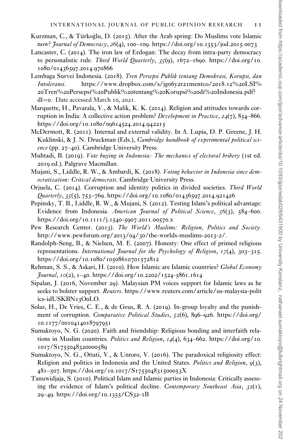- <span id="page-10-0"></span>Kurzman, C., & Türkoğlu, D. (2015). After the Arab spring: Do Muslims vote Islamic now? *Journal of Democracy*, 26(4), 100–109. [https://doi.org/](https://doi.org/10.1353/jod.2015.0073)10.1353/jod.2015.0073
- Lancaster, C. (2014). The iron law of Erdogan: The decay from intra-party democracy to personalistic rule. Third World Quarterly,  $35(9)$ ,  $1672-1690$ . [https://doi.org/](https://doi.org/10.1080/01436597.2014.970866)10. 1080/[01436597](https://doi.org/10.1080/01436597.2014.970866).2014.970866
- Lembaga Survei Indonesia. (2018). Tren Persepsi Publik tentang Demokrasi, Korupsi, dan Intoleransi. [https://www.dropbox.com/s/jg](https://www.dropbox.com/s/jg06y2r21mentco/2018.12%20LSI%20Tren%20Persepsi%20Publik%20tentang%20Korupsi%20di%20Indonesia.pdf?dl=0)06y2r21mentco/2018.12%20LSI% 20Tren%20Persepsi%20Publik%20tentang%20Korupsi%20di%20[Indonesia.pdf?](https://www.dropbox.com/s/jg06y2r21mentco/2018.12%20LSI%20Tren%20Persepsi%20Publik%20tentang%20Korupsi%20di%20Indonesia.pdf?dl=0) [dl](https://www.dropbox.com/s/jg06y2r21mentco/2018.12%20LSI%20Tren%20Persepsi%20Publik%20tentang%20Korupsi%20di%20Indonesia.pdf?dl=0)=[0](https://www.dropbox.com/s/jg06y2r21mentco/2018.12%20LSI%20Tren%20Persepsi%20Publik%20tentang%20Korupsi%20di%20Indonesia.pdf?dl=0). Date accessed March 10, 2021.
- Marquette, H., Pavarala, V., & Malik, K. K. (2014). Religion and attitudes towards corruption in India: A collective action problem? Development in Practice, 24(7), 854-866. [https://doi.org/](https://doi.org/10.1080/09614524.2014.942215)10.1080/09614524.2014.942215
- McDermott, R. (2011). Internal and external validity. In A. Lupia, D. P. Greene, J. H. Kuklinski, & J. N. Druckman (Eds.), Cambridge handbook of experimental political science (pp. 27–40). Cambridge University Press.
- Muhtadi, B. (2019). Vote buying in Indonesia: The mechanics of electoral bribery (1st ed. 2019 ed.). Palgrave Macmillan.
- Mujani, S., Liddle, R. W., & Ambardi, K. (2018). Voting behavior in Indonesia since democratization: Critical democrats. Cambridge University Press.
- Orjuela, C. (2014). Corruption and identity politics in divided societies. Third World  $\frac{0}{2}$  *Quarterly*, 35(5), 753–769. [https://doi.org/](https://doi.org/10.1080/01436597.2014.921426)10.1080/01436597.2014.921426
- Pepinsky, T. B., Liddle, R. W., & Mujani, S. (2012). Testing Islam's political advantage: Evidence from Indonesia. American Journal of Political Science, 56(3), 584–600. [https://doi.org/](https://doi.org/10.1111/j.1540-5907.2011.00570.x)10.1111/j.1540-5907.2011.00570.x
- Pew Research Center. (2013). The World's Muslims: Religion, Politics and Society. [http://www.pewforum.org/](http://www.pewforum.org/2013/04/30/the-worlds-muslims-2013-2/)2013/04/30/the-worlds-muslims-2013-2/.
- Randolph-Seng, B., & Nielsen, M. E. (2007). Honesty: One effect of primed religious representations. International Journal for the Psychology of Religion,  $17(4)$ , 303–315. https://doi.org/10.1080/[10508610701572812](https://doi.org/10.1080/10508610701572812)
- Rehman, S. S., & Askari, H. (2010). How Islamic are Islamic countries? Global Economy Journal, 10(2), 1–40. [https://doi.org/](https://doi.org/10.2202/1524-5861.1614)10.2202/1524-5861.1614
- Sipalan, J. (2016, November 29). Malaysian PM voices support for Islamic laws as he seeks to bolster support. *Reuters*. [https://www.reuters.com/article/us-malaysia-polit](https://www.reuters.com/article/us-malaysia-politics-idUSKBN13O0LO) [ics-idUSKBN](https://www.reuters.com/article/us-malaysia-politics-idUSKBN13O0LO)13O0LO.
- Solaz, H., De Vries, C. E., & de Geus, R. A. (2019). In-group loyalty and the punishment of corruption. *Comparative Political Studies*, 52(6), 896–926. [https://doi.org/](https://doi.org/10.1177/0010414018797951) 10.1177/[0010414018797951](https://doi.org/10.1177/0010414018797951)
- Sumaktoyo, N. G. (2020). Faith and friendship: Religious bonding and interfaith relations in Muslim countries. *Politics and Religion*,  $14(4)$ ,  $634-662$ . [https://doi.org/](https://doi.org/10.1017/S1755048320000589)10. 1017/S[1755048320000589](https://doi.org/10.1017/S1755048320000589)
- Sumaktoyo, N. G., Ottati, V., & Untoro, V. (2016). The paradoxical religiosity effect: Religion and politics in Indonesia and the United States. Politics and Religion, 9(3), 481–507. https://doi.org/10.1017/S[175504831500053](https://doi.org/10.1017/S175504831500053X)X
- Tanuwidjaja, S. (2010). Political Islam and Islamic parties in Indonesia: Critically assessing the evidence of Islam's political decline. Contemporary Southeast Asia,  $32(1)$ , 29–49. [https://doi.org/](https://doi.org/10.1355/CS32-1B)10.1355/CS32-1B